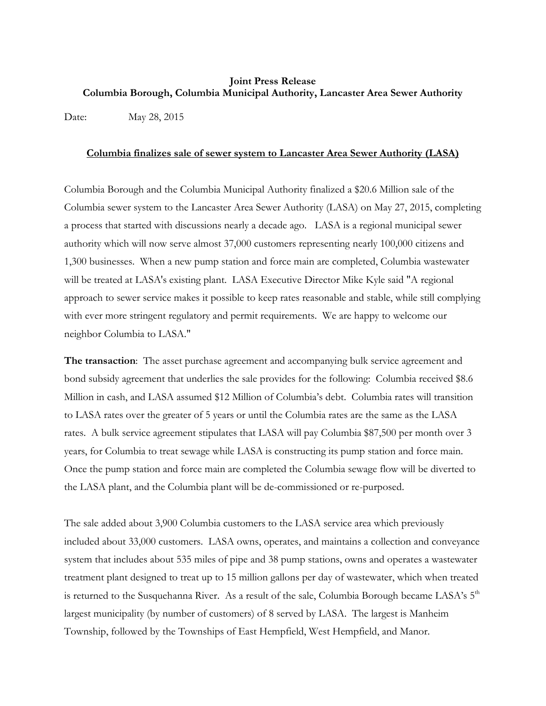## **Joint Press Release Columbia Borough, Columbia Municipal Authority, Lancaster Area Sewer Authority**

Date: May 28, 2015

## **Columbia finalizes sale of sewer system to Lancaster Area Sewer Authority (LASA)**

Columbia Borough and the Columbia Municipal Authority finalized a \$20.6 Million sale of the Columbia sewer system to the Lancaster Area Sewer Authority (LASA) on May 27, 2015, completing a process that started with discussions nearly a decade ago. LASA is a regional municipal sewer authority which will now serve almost 37,000 customers representing nearly 100,000 citizens and 1,300 businesses. When a new pump station and force main are completed, Columbia wastewater will be treated at LASA's existing plant. LASA Executive Director Mike Kyle said "A regional approach to sewer service makes it possible to keep rates reasonable and stable, while still complying with ever more stringent regulatory and permit requirements. We are happy to welcome our neighbor Columbia to LASA."

**The transaction**: The asset purchase agreement and accompanying bulk service agreement and bond subsidy agreement that underlies the sale provides for the following: Columbia received \$8.6 Million in cash, and LASA assumed \$12 Million of Columbia's debt. Columbia rates will transition to LASA rates over the greater of 5 years or until the Columbia rates are the same as the LASA rates. A bulk service agreement stipulates that LASA will pay Columbia \$87,500 per month over 3 years, for Columbia to treat sewage while LASA is constructing its pump station and force main. Once the pump station and force main are completed the Columbia sewage flow will be diverted to the LASA plant, and the Columbia plant will be de-commissioned or re-purposed.

The sale added about 3,900 Columbia customers to the LASA service area which previously included about 33,000 customers. LASA owns, operates, and maintains a collection and conveyance system that includes about 535 miles of pipe and 38 pump stations, owns and operates a wastewater treatment plant designed to treat up to 15 million gallons per day of wastewater, which when treated is returned to the Susquehanna River. As a result of the sale, Columbia Borough became LASA's  $5<sup>th</sup>$ largest municipality (by number of customers) of 8 served by LASA. The largest is Manheim Township, followed by the Townships of East Hempfield, West Hempfield, and Manor.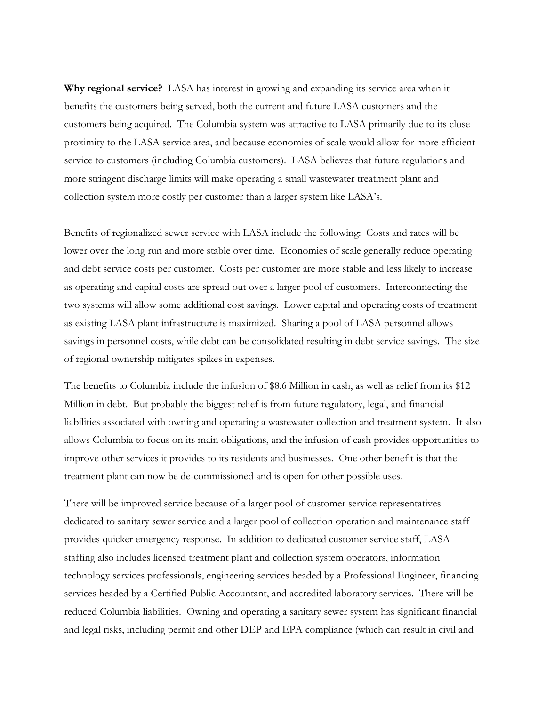**Why regional service?** LASA has interest in growing and expanding its service area when it benefits the customers being served, both the current and future LASA customers and the customers being acquired. The Columbia system was attractive to LASA primarily due to its close proximity to the LASA service area, and because economies of scale would allow for more efficient service to customers (including Columbia customers). LASA believes that future regulations and more stringent discharge limits will make operating a small wastewater treatment plant and collection system more costly per customer than a larger system like LASA's.

Benefits of regionalized sewer service with LASA include the following: Costs and rates will be lower over the long run and more stable over time. Economies of scale generally reduce operating and debt service costs per customer. Costs per customer are more stable and less likely to increase as operating and capital costs are spread out over a larger pool of customers. Interconnecting the two systems will allow some additional cost savings. Lower capital and operating costs of treatment as existing LASA plant infrastructure is maximized. Sharing a pool of LASA personnel allows savings in personnel costs, while debt can be consolidated resulting in debt service savings. The size of regional ownership mitigates spikes in expenses.

The benefits to Columbia include the infusion of \$8.6 Million in cash, as well as relief from its \$12 Million in debt. But probably the biggest relief is from future regulatory, legal, and financial liabilities associated with owning and operating a wastewater collection and treatment system. It also allows Columbia to focus on its main obligations, and the infusion of cash provides opportunities to improve other services it provides to its residents and businesses. One other benefit is that the treatment plant can now be de-commissioned and is open for other possible uses.

There will be improved service because of a larger pool of customer service representatives dedicated to sanitary sewer service and a larger pool of collection operation and maintenance staff provides quicker emergency response. In addition to dedicated customer service staff, LASA staffing also includes licensed treatment plant and collection system operators, information technology services professionals, engineering services headed by a Professional Engineer, financing services headed by a Certified Public Accountant, and accredited laboratory services. There will be reduced Columbia liabilities. Owning and operating a sanitary sewer system has significant financial and legal risks, including permit and other DEP and EPA compliance (which can result in civil and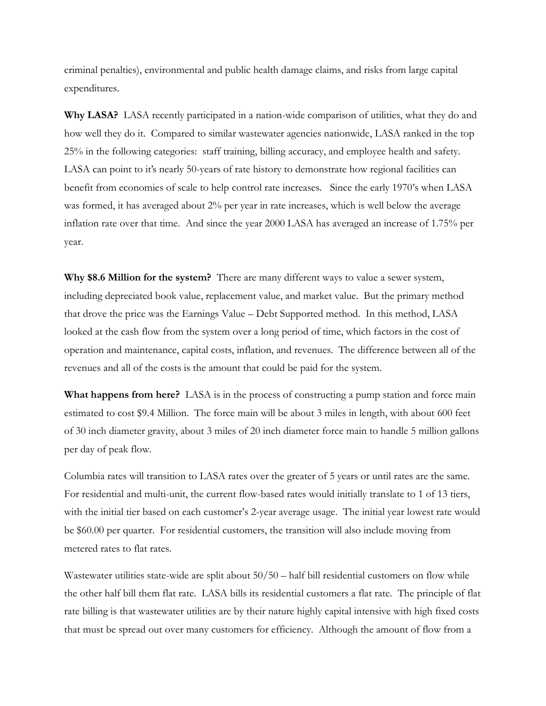criminal penalties), environmental and public health damage claims, and risks from large capital expenditures.

**Why LASA?** LASA recently participated in a nation-wide comparison of utilities, what they do and how well they do it. Compared to similar wastewater agencies nationwide, LASA ranked in the top 25% in the following categories: staff training, billing accuracy, and employee health and safety. LASA can point to it's nearly 50-years of rate history to demonstrate how regional facilities can benefit from economies of scale to help control rate increases. Since the early 1970's when LASA was formed, it has averaged about 2% per year in rate increases, which is well below the average inflation rate over that time. And since the year 2000 LASA has averaged an increase of 1.75% per year.

**Why \$8.6 Million for the system?** There are many different ways to value a sewer system, including depreciated book value, replacement value, and market value. But the primary method that drove the price was the Earnings Value – Debt Supported method. In this method, LASA looked at the cash flow from the system over a long period of time, which factors in the cost of operation and maintenance, capital costs, inflation, and revenues. The difference between all of the revenues and all of the costs is the amount that could be paid for the system.

**What happens from here?** LASA is in the process of constructing a pump station and force main estimated to cost \$9.4 Million. The force main will be about 3 miles in length, with about 600 feet of 30 inch diameter gravity, about 3 miles of 20 inch diameter force main to handle 5 million gallons per day of peak flow.

Columbia rates will transition to LASA rates over the greater of 5 years or until rates are the same. For residential and multi-unit, the current flow-based rates would initially translate to 1 of 13 tiers, with the initial tier based on each customer's 2-year average usage. The initial year lowest rate would be \$60.00 per quarter. For residential customers, the transition will also include moving from metered rates to flat rates.

Wastewater utilities state-wide are split about  $50/50$  – half bill residential customers on flow while the other half bill them flat rate. LASA bills its residential customers a flat rate. The principle of flat rate billing is that wastewater utilities are by their nature highly capital intensive with high fixed costs that must be spread out over many customers for efficiency. Although the amount of flow from a